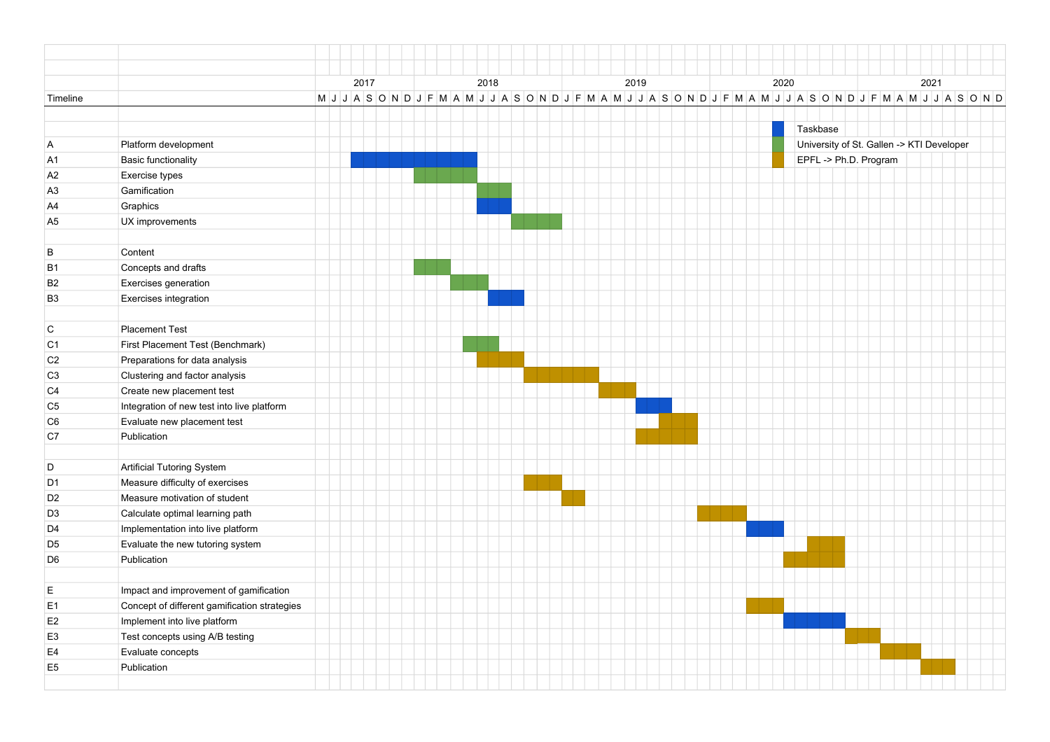|                |                                              | 2017 |  |  |  | 2018 |                                                                                                                 |  | 2019 |  | 2020     |                                           | 2021 |  |  |  |  |
|----------------|----------------------------------------------|------|--|--|--|------|-----------------------------------------------------------------------------------------------------------------|--|------|--|----------|-------------------------------------------|------|--|--|--|--|
| Timeline       |                                              |      |  |  |  |      | M J J A S O N D J F M A M J J A S O N D J F M A M J J A S O N D J F M A M J J A S O N D J F M A M J J A S O N D |  |      |  |          |                                           |      |  |  |  |  |
|                |                                              |      |  |  |  |      |                                                                                                                 |  |      |  |          |                                           |      |  |  |  |  |
|                |                                              |      |  |  |  |      |                                                                                                                 |  |      |  | Taskbase |                                           |      |  |  |  |  |
| A              | Platform development                         |      |  |  |  |      |                                                                                                                 |  |      |  |          | University of St. Gallen -> KTI Developer |      |  |  |  |  |
| A <sub>1</sub> | <b>Basic functionality</b>                   |      |  |  |  |      |                                                                                                                 |  |      |  |          | EPFL -> Ph.D. Program                     |      |  |  |  |  |
| A <sub>2</sub> | Exercise types                               |      |  |  |  |      |                                                                                                                 |  |      |  |          |                                           |      |  |  |  |  |
| A <sub>3</sub> | Gamification                                 |      |  |  |  |      |                                                                                                                 |  |      |  |          |                                           |      |  |  |  |  |
| A4             | Graphics                                     |      |  |  |  |      |                                                                                                                 |  |      |  |          |                                           |      |  |  |  |  |
| A <sub>5</sub> | UX improvements                              |      |  |  |  |      |                                                                                                                 |  |      |  |          |                                           |      |  |  |  |  |
| В              | Content                                      |      |  |  |  |      |                                                                                                                 |  |      |  |          |                                           |      |  |  |  |  |
| <b>B1</b>      | Concepts and drafts                          |      |  |  |  |      |                                                                                                                 |  |      |  |          |                                           |      |  |  |  |  |
| B <sub>2</sub> | Exercises generation                         |      |  |  |  |      |                                                                                                                 |  |      |  |          |                                           |      |  |  |  |  |
| B <sub>3</sub> | Exercises integration                        |      |  |  |  |      |                                                                                                                 |  |      |  |          |                                           |      |  |  |  |  |
|                |                                              |      |  |  |  |      |                                                                                                                 |  |      |  |          |                                           |      |  |  |  |  |
| $\mathsf C$    | Placement Test                               |      |  |  |  |      |                                                                                                                 |  |      |  |          |                                           |      |  |  |  |  |
| C <sub>1</sub> | First Placement Test (Benchmark)             |      |  |  |  |      |                                                                                                                 |  |      |  |          |                                           |      |  |  |  |  |
| C <sub>2</sub> | Preparations for data analysis               |      |  |  |  |      |                                                                                                                 |  |      |  |          |                                           |      |  |  |  |  |
| C <sub>3</sub> | Clustering and factor analysis               |      |  |  |  |      |                                                                                                                 |  |      |  |          |                                           |      |  |  |  |  |
| C <sub>4</sub> | Create new placement test                    |      |  |  |  |      |                                                                                                                 |  |      |  |          |                                           |      |  |  |  |  |
| C <sub>5</sub> | Integration of new test into live platform   |      |  |  |  |      |                                                                                                                 |  |      |  |          |                                           |      |  |  |  |  |
| C <sub>6</sub> | Evaluate new placement test                  |      |  |  |  |      |                                                                                                                 |  |      |  |          |                                           |      |  |  |  |  |
| C7             | Publication                                  |      |  |  |  |      |                                                                                                                 |  |      |  |          |                                           |      |  |  |  |  |
| D              | Artificial Tutoring System                   |      |  |  |  |      |                                                                                                                 |  |      |  |          |                                           |      |  |  |  |  |
| D <sub>1</sub> | Measure difficulty of exercises              |      |  |  |  |      |                                                                                                                 |  |      |  |          |                                           |      |  |  |  |  |
| D <sub>2</sub> | Measure motivation of student                |      |  |  |  |      |                                                                                                                 |  |      |  |          |                                           |      |  |  |  |  |
| D <sub>3</sub> | Calculate optimal learning path              |      |  |  |  |      |                                                                                                                 |  |      |  |          |                                           |      |  |  |  |  |
| D4             | Implementation into live platform            |      |  |  |  |      |                                                                                                                 |  |      |  |          |                                           |      |  |  |  |  |
| D <sub>5</sub> | Evaluate the new tutoring system             |      |  |  |  |      |                                                                                                                 |  |      |  |          |                                           |      |  |  |  |  |
| D <sub>6</sub> | Publication                                  |      |  |  |  |      |                                                                                                                 |  |      |  |          |                                           |      |  |  |  |  |
|                |                                              |      |  |  |  |      |                                                                                                                 |  |      |  |          |                                           |      |  |  |  |  |
| E              | Impact and improvement of gamification       |      |  |  |  |      |                                                                                                                 |  |      |  |          |                                           |      |  |  |  |  |
| E <sub>1</sub> | Concept of different gamification strategies |      |  |  |  |      |                                                                                                                 |  |      |  |          |                                           |      |  |  |  |  |
| E <sub>2</sub> | Implement into live platform                 |      |  |  |  |      |                                                                                                                 |  |      |  |          |                                           |      |  |  |  |  |
| E <sub>3</sub> | Test concepts using A/B testing              |      |  |  |  |      |                                                                                                                 |  |      |  |          |                                           |      |  |  |  |  |
| E <sub>4</sub> | Evaluate concepts                            |      |  |  |  |      |                                                                                                                 |  |      |  |          |                                           |      |  |  |  |  |
| E <sub>5</sub> | Publication                                  |      |  |  |  |      |                                                                                                                 |  |      |  |          |                                           |      |  |  |  |  |
|                |                                              |      |  |  |  |      |                                                                                                                 |  |      |  |          |                                           |      |  |  |  |  |